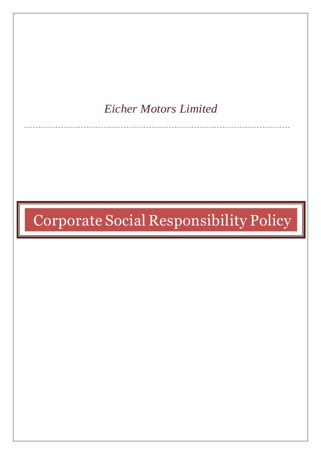# *Eicher Motors Limited*

# Corporate Social Responsibility Policy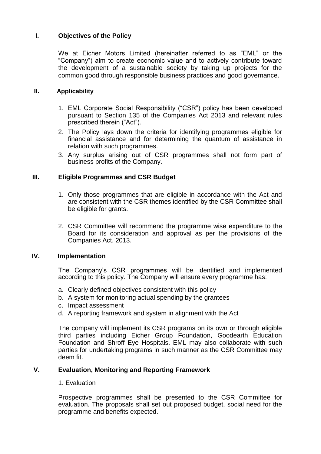# **I. Objectives of the Policy**

We at Eicher Motors Limited (hereinafter referred to as "EML" or the "Company") aim to create economic value and to actively contribute toward the development of a sustainable society by taking up projects for the common good through responsible business practices and good governance.

# **II. Applicability**

- 1. EML Corporate Social Responsibility ("CSR") policy has been developed pursuant to Section 135 of the Companies Act 2013 and relevant rules prescribed therein ("Act").
- 2. The Policy lays down the criteria for identifying programmes eligible for financial assistance and for determining the quantum of assistance in relation with such programmes.
- 3. Any surplus arising out of CSR programmes shall not form part of business profits of the Company.

# **III. Eligible Programmes and CSR Budget**

- 1. Only those programmes that are eligible in accordance with the Act and are consistent with the CSR themes identified by the CSR Committee shall be eligible for grants.
- 2. CSR Committee will recommend the programme wise expenditure to the Board for its consideration and approval as per the provisions of the Companies Act, 2013.

## **IV. Implementation**

The Company's CSR programmes will be identified and implemented according to this policy. The Company will ensure every programme has:

- a. Clearly defined objectives consistent with this policy
- b. A system for monitoring actual spending by the grantees
- c. Impact assessment
- d. A reporting framework and system in alignment with the Act

The company will implement its CSR programs on its own or through eligible third parties including Eicher Group Foundation, Goodearth Education Foundation and Shroff Eye Hospitals. EML may also collaborate with such parties for undertaking programs in such manner as the CSR Committee may deem fit.

## **V. Evaluation, Monitoring and Reporting Framework**

#### 1. Evaluation

Prospective programmes shall be presented to the CSR Committee for evaluation. The proposals shall set out proposed budget, social need for the programme and benefits expected.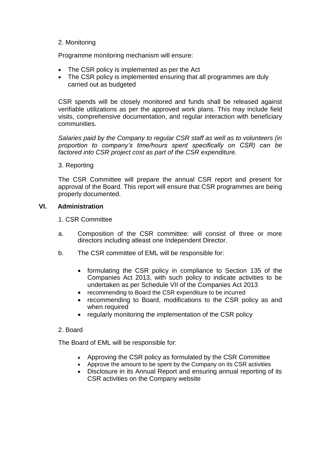#### 2. Monitoring

Programme monitoring mechanism will ensure:

- The CSR policy is implemented as per the Act
- The CSR policy is implemented ensuring that all programmes are duly carried out as budgeted

CSR spends will be closely monitored and funds shall be released against verifiable utilizations as per the approved work plans. This may include field visits, comprehensive documentation, and regular interaction with beneficiary communities.

*Salaries paid by the Company to regular CSR staff as well as to volunteers (in proportion to company's time/hours spent specifically on CSR) can be factored into CSR project cost as part of the CSR expenditure.*

#### 3. Reporting

The CSR Committee will prepare the annual CSR report and present for approval of the Board. This report will ensure that CSR programmes are being properly documented.

#### **VI. Administration**

#### 1. CSR Committee

- a. Composition of the CSR committee: will consist of three or more directors including atleast one Independent Director.
- b. The CSR committee of EML will be responsible for:
	- formulating the CSR policy in compliance to Section 135 of the Companies Act 2013, with such policy to indicate activities to be undertaken as per Schedule VII of the Companies Act 2013
	- recommending to Board the CSR expenditure to be incurred
	- recommending to Board, modifications to the CSR policy as and when required
	- regularly monitoring the implementation of the CSR policy

#### 2. Board

The Board of EML will be responsible for:

- Approving the CSR policy as formulated by the CSR Committee
- Approve the amount to be spent by the Company on its CSR activities
- Disclosure in its Annual Report and ensuring annual reporting of its CSR activities on the Company website